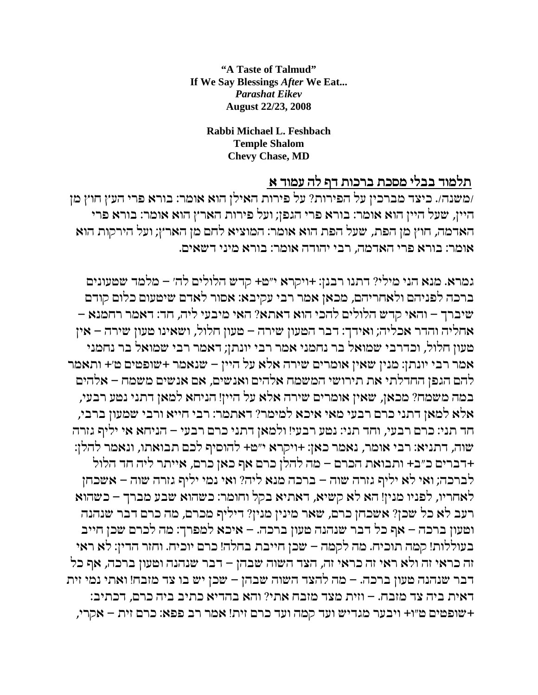"A Taste of Talmud" If We Sav Blessings After We Eat... **Parashat Eikev August 22/23, 2008** 

> Rabbi Michael L. Feshbach **Temple Shalom Chevy Chase, MD**

## תלמוד בבלי מסכת ברכות דף לה עמוד א

/משנה/. כיצד מברכין על הפירות? על פירות האילן הוא אומר: בורא פרי העץ חוץ מן היין, שעל היין הוא אומר: בורא פרי הגפן; ועל פירות הארץ הוא אומר: בורא פרי הארמה, חוץ מן הפת, שעל הפת הוא אומר: המוציא לחם מן הארץ; ועל הירקות הוא אומר: בורא פרי האדמה, רבי יהודה אומר: בורא מיני דשאים.

גמרא. מנא הני מילי? דתנו רבנן: +ויקרא י״מ+ קדש הלולים לה׳ – מלמד שטעונים ברכה לפניהם ולאחריהם, מכאן אמר רבי עקיבא: אסור לאדם שיטעום כלום קודם שיברך – והאי קדש הלולים להכי הוא דאתא? האי מיבעי ליה, חד: דאמר רחמנא – אחליה והדר אכליה; ואידך: דבר הטעון שירה – טעון חלול, ושאינו טעון שירה – אין טעון חלול, וכדרבי שמואל בר נחמני אמר רבי יונתן; דאמר רבי שמואל בר נחמני אמר רבי יונתן: מנין שאין אומרים שירה אלא על היין – שנאמר +שופטים ט׳+ ותאמר להם הגפן החדלתי את תירושי המשמח אלהים ואנשים, אם אנשים משמח – אלהים במה משמח? מכאן, שאין אומרים שירה אלא על היין! הניחא למאן דתני נמע רבעי, אלא למאן דתני כרם רבעי מאי איכא למימר? דאתמר: רבי חייא ורבי שמעון ברבי, חד תני: כרם רבעי, וחד תני: נטע רבעי! ולמאן דתני כרם רבעי – הניחא אי יליף גזרה שוה, דתניא: רבי אומר, נאמר כאן: +ויקרא י״מ+ להוסיף לכם תבואתו, ונאמר להלן: +דברים כ״ב+ ותבואת הכרם – מה להלן כרם אף כאן כרם, אייתר ליה חד הלול לברכה; ואי לא יליף גזרה שוה – ברכה מנא ליה? ואי נמי יליף גזרה שוה – אשכחן לאחריו, לפניו מנין! הא לא קשיא, דאתיא בקל וחומר: כשהוא שבע מברך – כשהוא רעב לא כל שכן? אשכחן כרם, שאר מינין מנין? דיליף מכרם, מה כרם דבר שנהנה וטעון ברכה – אף כל דבר שנהנה טעון ברכה. – איכא למפרך: מה לכרם שכן חייב בעוללות! קמה תוכיח. מה לקמה – שכן חייבת בחלה! כרם יוכיח. וחזר הדין: לא ראי זה כראי זה ולא ראי זה כראי זה, הצד השוה שבהן – דבר שנהנה וטעון ברכה, אף כל דבר שנהנה טעון ברכה. – מה להצד השוה שבהן – שכן יש בו צד מזבח! ואתי נמי זית דאית ביה צד מזבח. – וזית מצד מזבח אתי? והא בהדיא כתיב ביה כרם, דכתיב: +שופטים ט״ו+ ויבער מגדיש ועד קמה ועד כרם זית! אמר רב פפא: כרם זית – אקרי,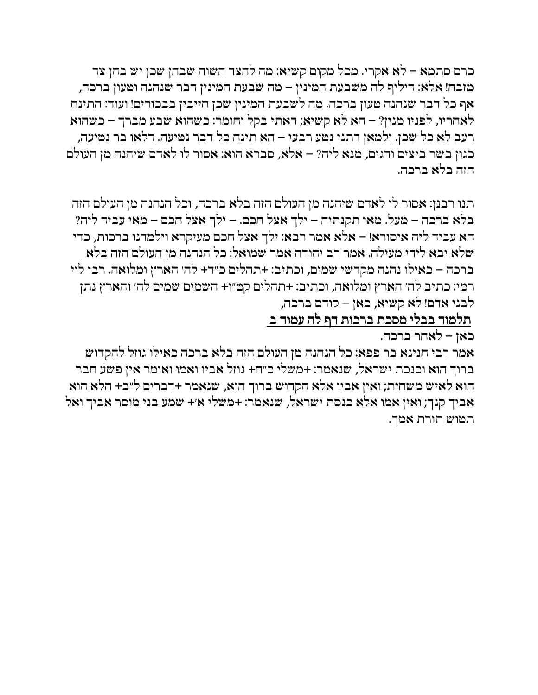כרם סתמא – לא אקרי. מכל מקום קשיא: מה להצד השוה שבהן שכן יש בהן צד מזבח! אלא: דיליף לה משבעת המינין – מה שבעת המינין דבר שנהנה וטעון ברכה, אף כל דבר שנהנה טעון ברכה. מה לשבעת המינין שכן חייבין בבכורים! ועוד: התינח לאחריו, לפניו מנין? – הא לא קשיא; דאתי בקל וחומר: כשהוא שבע מברך – כשהוא רעב לא כל שכן. ולמאן דתני נמע רבעי – הא תינח כל דבר נמיעה. דלאו בר נמיעה, כגון בשר ביצים ודגים, מנא ליה? – אלא, סברא הוא: אסור לו לאדם שיהנה מן העולם הזה בלא ברכה.

תנו רבנן: אסור לו לאדם שיהנה מן העולם הזה בלא ברכה, וכל הנהנה מן העולם הזה  $\alpha$ בלא ברכה – מעל. מאי תקנתיה – ילך אצל חכם. – ילך אצל חכם – מאי עביד ליה הא עביד ליה איסורא! – אלא אמר רבא: ילך אצל חכם מעיקרא וילמדנו ברכות, כדי ובא לידי מעילה. אמר רב יהודה אמר שמואל: כל הנהנה מן העולם הזה בלא . $\cdot$ שלא ברכה – כאילו נהנה מקדשי שמים, וכתיב: +תהלים כ״ד+ לה׳ הארץ ומלואה. רבי לוי רמי: כתיב לה׳ הארץ ומלואה, וכתיב: +תהלים קט״ו+ השמים שמים לה׳ והארץ נתן לבני אדם! לא קשיא, כאן – קודם ברכה,

<u>תלמוד בבלי מסכת ברכות דף ל</u>ה עמוד ב

 $\overline{\phantom{a}}$ כאן - לאחר ברכה.

אמר רבי חנינא בר פפא: כל הנהנה מן העולם הזה בלא ברכה כאילו גוזל להקדוש ברוך הוא וכנסת ישראל, שנאמר: +משלי כ״ח+ גוזל אביו ואמו ואומר אין פשע חבר הוא לאיש משחית; ואין אביו אלא הקדוש ברוך הוא, שנאמר +דברים ל״ב+ הלא הוא אביך קנך; ואין אמו אלא כנסת ישראל, שנאמר: +משלי א׳+ שמע בני מוסר אביך ואל .<br>תמוש תורת אמך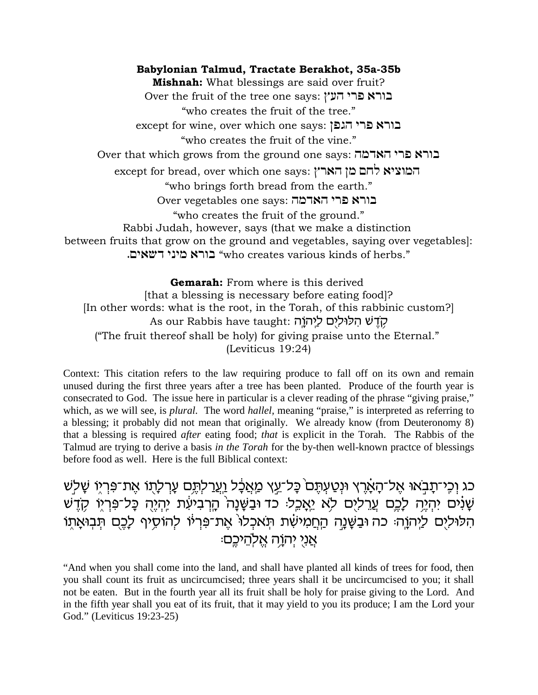**Babylonian Talmud, Tractate Berakhot, 35a-35b Mishnah:** What blessings are said over fruit? Over the fruit of the tree one says: בורא פרי העץ "who creates the fruit of the tree." except for wine, over which one says: בורא פרי הגפן "who creates the fruit of the vine." Over that which grows from the ground one says: בורא פרי הארמה  $\epsilon$ except for bread, over which one says: המוציא לחם מן הארץ "who brings forth bread from the earth." Over vegetables one says: בורא פרי האדמה "who creates the fruit of the ground." Rabbi Judah, however, says (that we make a distinction between fruits that grow on the ground and vegetables, saying over vegetables]: ורא מיני דשאים. "who creates various kinds of herbs."

**Gemarah:** From where is this derived [that a blessing is necessary before eating food]? [In other words: what is the root, in the Torah, of this rabbinic custom?] As our Rabbis have taught: קֹדֵשׁ הִלּוּלִיָם לַיְהֹוֵה ("The fruit thereof shall be holy) for giving praise unto the Eternal." (Leviticus 19:24)

Context: This citation refers to the law requiring produce to fall off on its own and remain unused during the first three years after a tree has been planted. Produce of the fourth year is consecrated to God. The issue here in particular is a clever reading of the phrase "giving praise," which, as we will see, is *plural*. The word *hallel*, meaning "praise," is interpreted as referring to a blessing; it probably did not mean that originally. We already know (from Deuteronomy 8) that a blessing is required *after* eating food; *that* is explicit in the Torah. The Rabbis of the Talmud are trying to derive a basis *in the Torah* for the by-then well-known practce of blessings before food as well. Here is the full Biblical context:

כג וַכֶּי־תָבְאוּ אֵל־הָאָרֵץ וּנְטַעִתֵּם כָּל־עֵץ מַאֲבָל וַעֲרַלִתֵּם עָרִלְתֶוֹ אֶת־פִּרְיֶוּ שָׁלְש שָׁנִים יִהְיֵה לָכֶם עֲרֵליֶם לָא יֵאֲכֵל: כֹד וּבַשֶּׁנָה הָרָבִיעָת יְהָיֵה כָּל־פִּרְיֶו קָדֵשׁ הלוּלים ליהוֶה כה וּבַשֶּׁנָה הַחֲמִישָׁת תֹּאכלו אֵת־פִּרְיוֹ להוֹסִיף לָכֵם תּבִוּאָתו :אני יהוֹה אלֹהיכם

"And when you shall come into the land, and shall have planted all kinds of trees for food, then you shall count its fruit as uncircumcised; three years shall it be uncircumcised to you; it shall not be eaten. But in the fourth year all its fruit shall be holy for praise giving to the Lord. And in the fifth year shall you eat of its fruit, that it may yield to you its produce; I am the Lord your God." (Leviticus 19:23-25)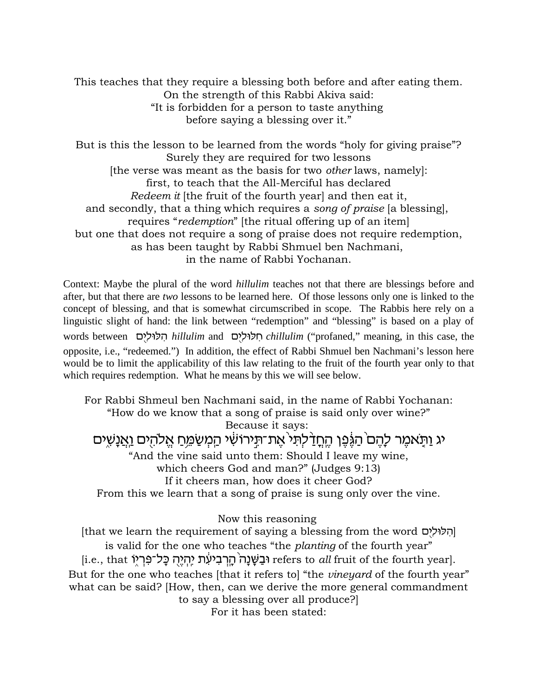This teaches that they require a blessing both before and after eating them. On the strength of this Rabbi Akiva said: "It is forbidden for a person to taste anything before saying a blessing over it."

But is this the lesson to be learned from the words "holy for giving praise"? Surely they are required for two lessons [the verse was meant as the basis for two *other* laws, namely]: first, to teach that the All-Merciful has declared *Redeem it* [the fruit of the fourth year] and then eat it, and secondly, that a thing which requires a *song of praise* [a blessing], requires "*redemption*" [the ritual offering up of an item] but one that does not require a song of praise does not require redemption, as has been taught by Rabbi Shmuel ben Nachmani, in the name of Rabbi Yochanan.

Context: Maybe the plural of the word *hillulim* teaches not that there are blessings before and after, but that there are *two* lessons to be learned here. Of those lessons only one is linked to the concept of blessing, and that is somewhat circumscribed in scope. The Rabbis here rely on a linguistic slight of hand: the link between "redemption" and "blessing" is based on a play of words between 
nillulim and 
pichillulim ("profaned," meaning, in this case, the
notas between
neg 
nillulim and
pichologic 
neaning, in this case, the

notas  $\mathbf{R}$ opposite, i.e., "redeemed.") In addition, the effect of Rabbi Shmuel ben Nachmani's lesson here would be to limit the applicability of this law relating to the fruit of the fourth year only to that which requires redemption. What he means by this we will see below.

For Rabbi Shmeul ben Nachmani said, in the name of Rabbi Yochanan: "How do we know that a song of praise is said only over wine?" Because it says: יג וַתַּאמֶר לָהֶם הַגֶּׁפֶן הֶחֲדַ לְתִּי אֶת־תִּירוֹשִׁי הַמְשַׂמֵּחַ אֵלהִים וַ<u>אֲנַ</u>שִׁים "And the vine said unto them: Should I leave my wine, which cheers God and man?" (Judges 9:13) If it cheers man, how does it cheer God? From this we learn that a song of praise is sung only over the vine.

Now this reasoning

[hat we learn the requirement of saying a blessing from the word ||הלולים is valid for the one who teaches "the *planting* of the fourth year" [i.e., that F®ix§R¦ ÎlM¨ d¤id§ «i¦ zr½¦ ia¦ x§d«¨Æd¨pX¨ a©E refers to *all* fruit of the fourth year]. But for the one who teaches [that it refers to] "the *vineyard* of the fourth year" what can be said? [How, then, can we derive the more general commandment to say a blessing over all produce?]

For it has been stated: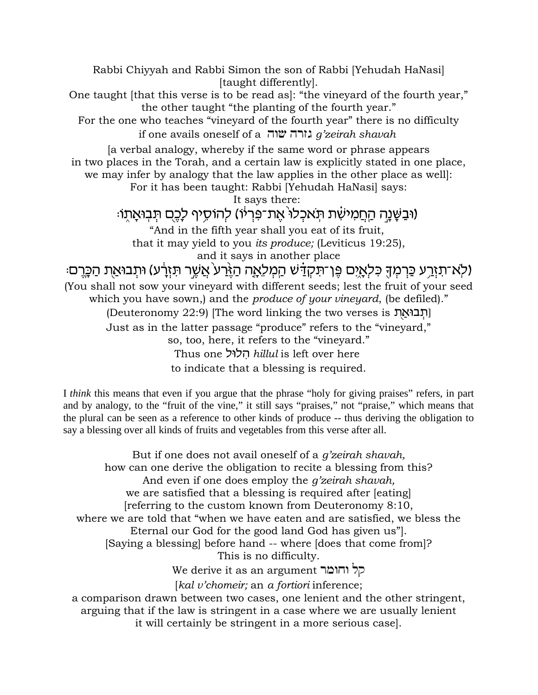Rabbi Chiyyah and Rabbi Simon the son of Rabbi [Yehudah HaNasi] [taught differently]. One taught [that this verse is to be read as]: "the vineyard of the fourth year," the other taught "the planting of the fourth year." For the one who teaches "vineyard of the fourth year" there is no difficulty if one avails oneself of a **שוה g**'zeirah shavah [a verbal analogy, whereby if the same word or phrase appears in two places in the Torah, and a certain law is explicitly stated in one place, we may infer by analogy that the law applies in the other place as well]: For it has been taught: Rabbi [Yehudah HaNasi] says: It says there: וּבַשֶּׁנָה הַחֲמִישָׁת תְּאכִלוּ אֵת־פְּרִיוֹ) להוֹסֵיף לָבֵם תִּבְוּאֲתֶוּ: "And in the fifth year shall you eat of its fruit, that it may yield to you *its produce;* (Leviticus 19:25), and it says in another place ולא־תַזַרֶע כַּרְמִךָ כִּלְאָיֶם פֵּן־תִּקְדָּשׁ הַמְלֵאֲה הַזֶּרַע אֲשֶר תִּזְרָע) וּתִבוּאַת הַכָּרֵם. (You shall not sow your vineyard with different seeds; lest the fruit of your seed which you have sown,) and the *produce of your vineyard*, (be defiled)." (Deuteronomy 22:9) [The word linking the two verses is הְבוּאֲת Just as in the latter passage "produce" refers to the "vineyard," so, too, here, it refers to the "vineyard." Thus one lEld¦ *hillul* is left over here to indicate that a blessing is required.

I *think* this means that even if you argue that the phrase "holy for giving praises" refers, in part and by analogy, to the "fruit of the vine," it still says "praises," not "praise," which means that the plural can be seen as a reference to other kinds of produce -- thus deriving the obligation to say a blessing over all kinds of fruits and vegetables from this verse after all.

But if one does not avail oneself of a *g'zeirah shavah,* how can one derive the obligation to recite a blessing from this? And even if one does employ the *g'zeirah shavah,* we are satisfied that a blessing is required after [eating] [referring to the custom known from Deuteronomy 8:10, where we are told that "when we have eaten and are satisfied, we bless the Eternal our God for the good land God has given us"]. [Saying a blessing] before hand -- where [does that come from]? This is no difficulty.

We derive it as an argument קל וחומר

[*kal v'chomeir;* an *a fortiori* inference;

a comparison drawn between two cases, one lenient and the other stringent, arguing that if the law is stringent in a case where we are usually lenient it will certainly be stringent in a more serious case].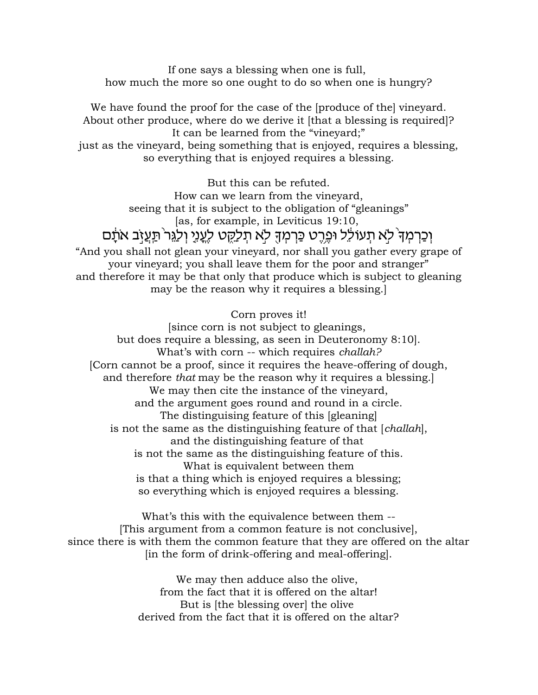If one says a blessing when one is full, how much the more so one ought to do so when one is hungry?

We have found the proof for the case of the [produce of the] vineyard. About other produce, where do we derive it [that a blessing is required]? It can be learned from the "vineyard;" just as the vineyard, being something that is enjoyed, requires a blessing, so everything that is enjoyed requires a blessing.

But this can be refuted. How can we learn from the vineyard, seeing that it is subject to the obligation of "gleanings" [as, for example, in Leviticus 19:10, וַכַּרִמְד<sup>ָּ</sup> לְא תִעוֹלֵל וּפֵרֵט כַּרְמִדְּ לְא תִכַּקְט לְעֲנֵי וְלַגֵּר ּתֵעֲזָב אֹתָם "And you shall not glean your vineyard, nor shall you gather every grape of

your vineyard; you shall leave them for the poor and stranger" and therefore it may be that only that produce which is subject to gleaning may be the reason why it requires a blessing.]

#### Corn proves it!

[since corn is not subject to gleanings, but does require a blessing, as seen in Deuteronomy 8:10]. What's with corn -- which requires *challah?* [Corn cannot be a proof, since it requires the heave-offering of dough, and therefore *that* may be the reason why it requires a blessing.] We may then cite the instance of the vineyard, and the argument goes round and round in a circle. The distinguising feature of this [gleaning] is not the same as the distinguishing feature of that [*challah*], and the distinguishing feature of that is not the same as the distinguishing feature of this. What is equivalent between them is that a thing which is enjoyed requires a blessing; so everything which is enjoyed requires a blessing.

What's this with the equivalence between them -- [This argument from a common feature is not conclusive], since there is with them the common feature that they are offered on the altar [in the form of drink-offering and meal-offering].

> We may then adduce also the olive, from the fact that it is offered on the altar! But is [the blessing over] the olive derived from the fact that it is offered on the altar?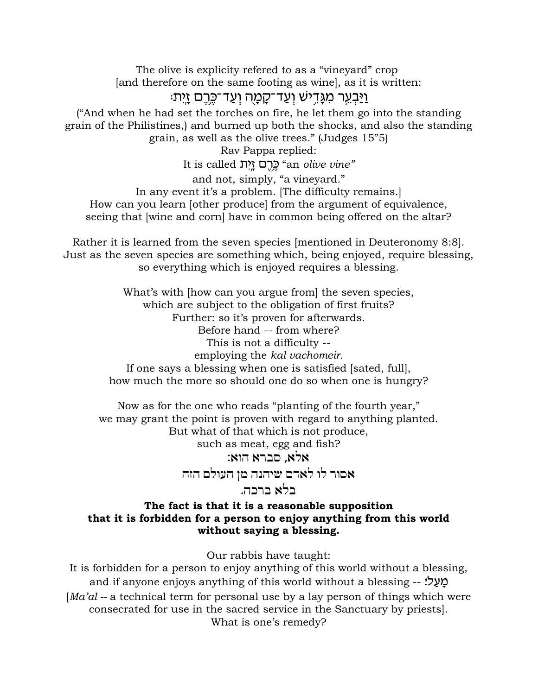The olive is explicity refered to as a "vineyard" crop [and therefore on the same footing as wine], as it is written:

# :יַּבְעֵר מִגַּדֵישׁ וְעַד־קַמַה וְעַד־כֵּרֵם זַיִּת:

("And when he had set the torches on fire, he let them go into the standing grain of the Philistines,) and burned up both the shocks, and also the standing grain, as well as the olive trees." (Judges 15"5)

Rav Pappa replied:

It is called zi¦«f¨ mx¤¬M¤ "an *olive vine"*

and not, simply, "a vineyard."

In any event it's a problem. [The difficulty remains.] How can you learn [other produce] from the argument of equivalence,

seeing that [wine and corn] have in common being offered on the altar?

Rather it is learned from the seven species [mentioned in Deuteronomy 8:8]. Just as the seven species are something which, being enjoyed, require blessing, so everything which is enjoyed requires a blessing.

> What's with [how can you argue from] the seven species, which are subject to the obligation of first fruits? Further: so it's proven for afterwards. Before hand -- from where? This is not a difficulty - employing the *kal vachomeir.* If one says a blessing when one is satisfied [sated, full], how much the more so should one do so when one is hungry?

Now as for the one who reads "planting of the fourth year," we may grant the point is proven with regard to anything planted. But what of that which is not produce,

such as meat, egg and fish?

אלא, סברא הוא:  $\kappa$ 

אסור לו לאדם שיהנה מן העולם הזה

#### .בלא ברכה.

#### **The fact is that it is a reasonable supposition that it is forbidden for a person to enjoy anything from this world without saying a blessing.**

Our rabbis have taught:

It is forbidden for a person to enjoy anything of this world without a blessing, and if anyone enjoys anything of this world without a blessing -- ! [*Ma'al --* a technical term for personal use by a lay person of things which were consecrated for use in the sacred service in the Sanctuary by priests]. What is one's remedy?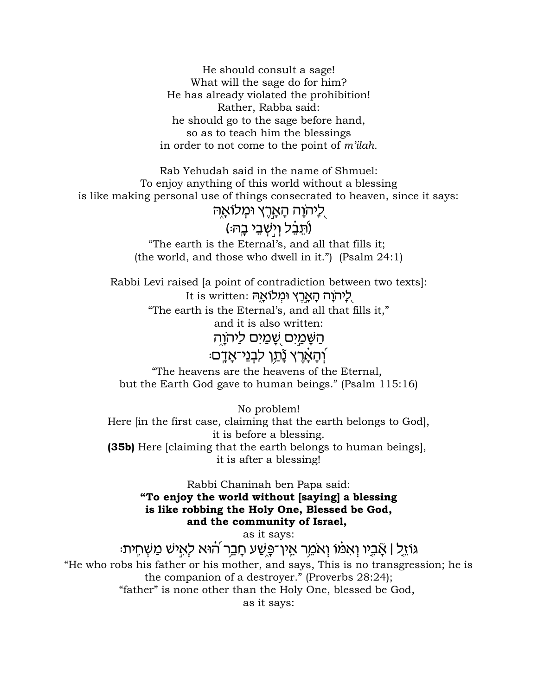He should consult a sage! What will the sage do for him? He has already violated the prohibition! Rather, Rabba said: he should go to the sage before hand, so as to teach him the blessings in order to not come to the point of *m'ilah.*

Rab Yehudah said in the name of Shmuel: To enjoy anything of this world without a blessing is like making personal use of things consecrated to heaven, since it says:

ַלַיהוַה הָאֲרֵץ וּמִלוֹאַה

## (תֵּבֵ֫ל וְיִשְׁבֵי בַה<del>ּ</del>:)

"The earth is the Eternal's, and all that fills it; (the world, and those who dwell in it.") (Psalm 24:1)

Rabbi Levi raised [a point of contradiction between two texts]: It is written: לֵיהוָה הַאֲרֵץ וּמְלוֹאֲהַ "The earth is the Eternal's, and all that fills it," and it is also written: הַשַּׁמַיִּם שֵׁמַיִּם לַיה<u>ו</u>ֹה ַֿיהַאַרֵץ נַֿתֵן לִבְנֵי־אַדֵם

"The heavens are the heavens of the Eternal, but the Earth God gave to human beings." (Psalm 115:16)

No problem! Here [in the first case, claiming that the earth belongs to God], it is before a blessing. **(35b)** Here [claiming that the earth belongs to human beings], it is after a blessing!

> Rabbi Chaninah ben Papa said: **"To enjoy the world without [saying] a blessing is like robbing the Holy One, Blessed be God, and the community of Israel,**

as it says:

:גּוֹזֵל | אָבֶיו וְאמֹו וְאמֵר אֵין־פֶּשֵׁע חָבֵר הוֹא לְאִישׁ מַשְׁחִית "He who robs his father or his mother, and says, This is no transgression; he is the companion of a destroyer." (Proverbs 28:24); "father" is none other than the Holy One, blessed be God, as it says: